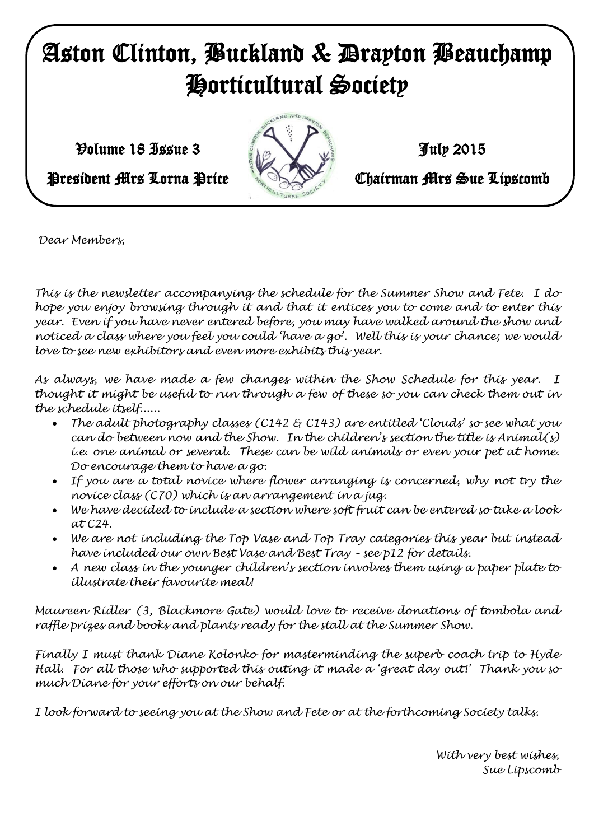# Aston Clinton, Buckland & Drayton Beauchamp Horticultural Society

 $\mathcal{V}$ olume 18 Issue 3  $\mathcal{V}$   $\mathcal{V}$   $\mathcal{V}$   $\mathcal{V}$   $\mathcal{V}$   $\mathcal{V}$   $\mathcal{V}$   $\mathcal{V}$   $\mathcal{V}$   $\mathcal{V}$   $\mathcal{V}$   $\mathcal{V}$   $\mathcal{V}$   $\mathcal{V}$   $\mathcal{V}$   $\mathcal{V}$   $\mathcal{V}$   $\mathcal{V}$   $\mathcal{V}$   $\mathcal{V}$   $\mathcal{V}$   $\mathcal{V}$ 



President Mrs Lorna Price **Chairman Mrs Sue Lipscomb** 

*Dear Members,*

*Sue Lipscomb This is the newsletter accompanying the schedule for the Summer Show and Fete. I do hope you enjoy browsing through it and that it entices you to come and to enter this year. Even if you have never entered before, you may have walked around the show and noticed a class where you feel you could 'have a go'. Well this is your chance; we would love to see new exhibitors and even more exhibits this year.* 

*As always, we have made a few changes within the Show Schedule for this year. I thought it might be useful to run through a few of these so you can check them out in the schedule itself......*

- *The adult photography classes (C142 & C143) are entitled 'Clouds' so see what you can do between now and the Show. In the children's section the title is Animal(s) i.e. one animal or several. These can be wild animals or even your pet at home. Do encourage them to have a go.*
- *If you are a total novice where flower arranging is concerned, why not try the novice class (C70) which is an arrangement in a jug.*
- *We have decided to include a section where soft fruit can be entered so take a look at C24.*
- *We are not including the Top Vase and Top Tray categories this year but instead have included our own Best Vase and Best Tray – see p12 for details.*
- *A new class in the younger children's section involves them using a paper plate to illustrate their favourite meal!*

*Maureen Ridler (3, Blackmore Gate) would love to receive donations of tombola and raffle prizes and books and plants ready for the stall at the Summer Show.*

*Finally I must thank Diane Kolonko for masterminding the superb coach trip to Hyde Hall. For all those who supported this outing it made a 'great day out!' Thank you so much Diane for your efforts on our behalf.*

*I look forward to seeing you at the Show and Fete or at the forthcoming Society talks.*

*With very best wishes, Sue Lipscomb*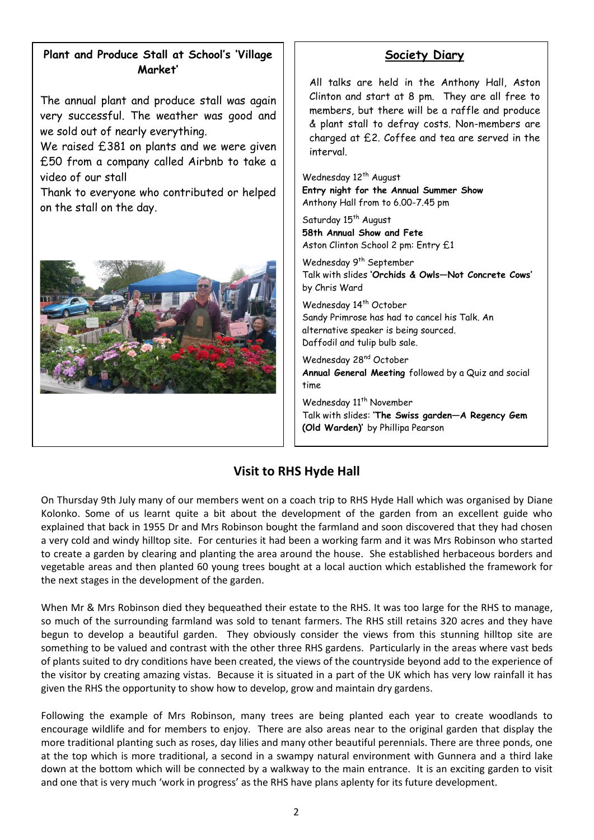# **Plant and Produce Stall at School's 'Village Market'**

The annual plant and produce stall was again very successful. The weather was good and we sold out of nearly everything.

We raised £381 on plants and we were given £50 from a company called Airbnb to take a video of our stall

Thank to everyone who contributed or helped on the stall on the day.



# **Society Diary**

All talks are held in the Anthony Hall, Aston Clinton and start at 8 pm. They are all free to members, but there will be a raffle and produce & plant stall to defray costs. Non-members are charged at £2. Coffee and tea are served in the interval.

Wednesday 12<sup>th</sup> August **Entry night for the Annual Summer Show** Anthony Hall from to 6.00-7.45 pm

Saturday 15<sup>th</sup> August **58th Annual Show and Fete** Aston Clinton School 2 pm: Entry £1

Wednesday 9<sup>th</sup> September Talk with slides **'Orchids & Owls—Not Concrete Cows'** by Chris Ward

Wednesday 14<sup>th</sup> October Sandy Primrose has had to cancel his Talk. An alternative speaker is being sourced. Daffodil and tulip bulb sale.

Wednesday 28<sup>nd</sup> October **Annual General Meeting** followed by a Quiz and social time

Wednesday 11<sup>th</sup> November Talk with slides: **'The Swiss garden—A Regency Gem (Old Warden)'** by Phillipa Pearson

## **Visit to RHS Hyde Hall**

On Thursday 9th July many of our members went on a coach trip to RHS Hyde Hall which was organised by Diane Kolonko. Some of us learnt quite a bit about the development of the garden from an excellent guide who explained that back in 1955 Dr and Mrs Robinson bought the farmland and soon discovered that they had chosen a very cold and windy hilltop site. For centuries it had been a working farm and it was Mrs Robinson who started to create a garden by clearing and planting the area around the house. She established herbaceous borders and vegetable areas and then planted 60 young trees bought at a local auction which established the framework for the next stages in the development of the garden.

When Mr & Mrs Robinson died they bequeathed their estate to the RHS. It was too large for the RHS to manage, so much of the surrounding farmland was sold to tenant farmers. The RHS still retains 320 acres and they have begun to develop a beautiful garden. They obviously consider the views from this stunning hilltop site are something to be valued and contrast with the other three RHS gardens. Particularly in the areas where vast beds of plants suited to dry conditions have been created, the views of the countryside beyond add to the experience of the visitor by creating amazing vistas. Because it is situated in a part of the UK which has very low rainfall it has given the RHS the opportunity to show how to develop, grow and maintain dry gardens.

Following the example of Mrs Robinson, many trees are being planted each year to create woodlands to encourage wildlife and for members to enjoy. There are also areas near to the original garden that display the more traditional planting such as roses, day lilies and many other beautiful perennials. There are three ponds, one at the top which is more traditional, a second in a swampy natural environment with Gunnera and a third lake down at the bottom which will be connected by a walkway to the main entrance. It is an exciting garden to visit and one that is very much 'work in progress' as the RHS have plans aplenty for its future development.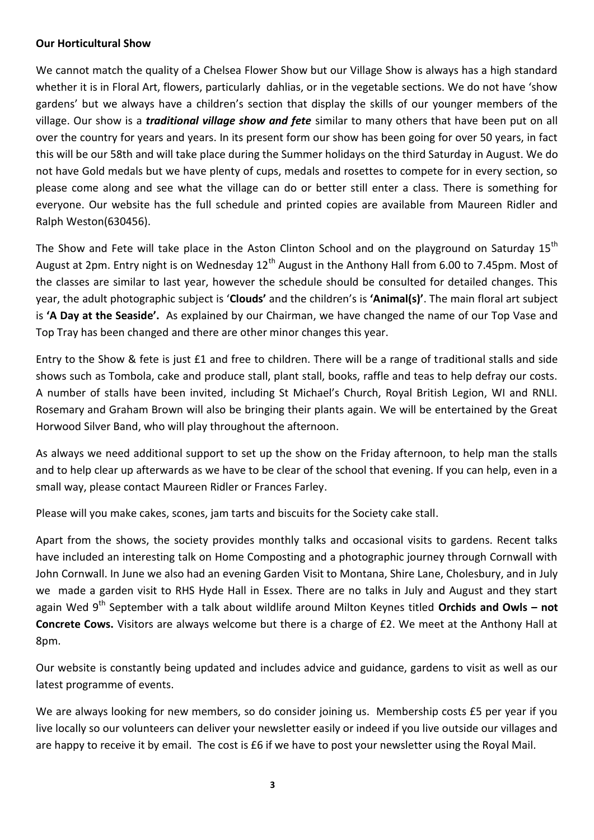#### **Our Horticultural Show**

We cannot match the quality of a Chelsea Flower Show but our Village Show is always has a high standard whether it is in Floral Art, flowers, particularly dahlias, or in the vegetable sections. We do not have 'show gardens' but we always have a children's section that display the skills of our younger members of the village. Our show is a *traditional village show and fete* similar to many others that have been put on all over the country for years and years. In its present form our show has been going for over 50 years, in fact this will be our 58th and will take place during the Summer holidays on the third Saturday in August. We do not have Gold medals but we have plenty of cups, medals and rosettes to compete for in every section, so please come along and see what the village can do or better still enter a class. There is something for everyone. Our website has the full schedule and printed copies are available from Maureen Ridler and Ralph Weston(630456).

The Show and Fete will take place in the Aston Clinton School and on the playground on Saturday 15<sup>th</sup> August at 2pm. Entry night is on Wednesday  $12<sup>th</sup>$  August in the Anthony Hall from 6.00 to 7.45pm. Most of the classes are similar to last year, however the schedule should be consulted for detailed changes. This year, the adult photographic subject is '**Clouds'** and the children's is **'Animal(s)'**. The main floral art subject is **'A Day at the Seaside'.** As explained by our Chairman, we have changed the name of our Top Vase and Top Tray has been changed and there are other minor changes this year.

Entry to the Show & fete is just £1 and free to children. There will be a range of traditional stalls and side shows such as Tombola, cake and produce stall, plant stall, books, raffle and teas to help defray our costs. A number of stalls have been invited, including St Michael's Church, Royal British Legion, WI and RNLI. Rosemary and Graham Brown will also be bringing their plants again. We will be entertained by the Great Horwood Silver Band, who will play throughout the afternoon.

As always we need additional support to set up the show on the Friday afternoon, to help man the stalls and to help clear up afterwards as we have to be clear of the school that evening. If you can help, even in a small way, please contact Maureen Ridler or Frances Farley.

Please will you make cakes, scones, jam tarts and biscuits for the Society cake stall.

Apart from the shows, the society provides monthly talks and occasional visits to gardens. Recent talks have included an interesting talk on Home Composting and a photographic journey through Cornwall with John Cornwall. In June we also had an evening Garden Visit to Montana, Shire Lane, Cholesbury, and in July we made a garden visit to RHS Hyde Hall in Essex. There are no talks in July and August and they start again Wed 9<sup>th</sup> September with a talk about wildlife around Milton Keynes titled Orchids and Owls - not **Concrete Cows.** Visitors are always welcome but there is a charge of £2. We meet at the Anthony Hall at 8pm.

Our website is constantly being updated and includes advice and guidance, gardens to visit as well as our latest programme of events.

We are always looking for new members, so do consider joining us. Membership costs £5 per year if you live locally so our volunteers can deliver your newsletter easily or indeed if you live outside our villages and are happy to receive it by email. The cost is £6 if we have to post your newsletter using the Royal Mail.